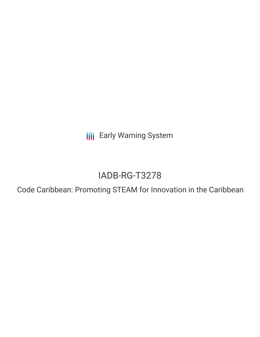**III** Early Warning System

# IADB-RG-T3278

Code Caribbean: Promoting STEAM for Innovation in the Caribbean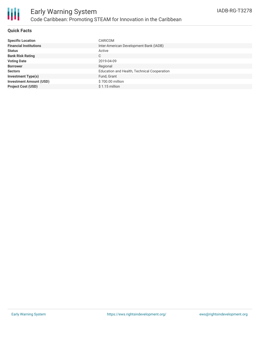

### **Quick Facts**

| <b>Specific Location</b>       | CARICOM                                     |
|--------------------------------|---------------------------------------------|
| <b>Financial Institutions</b>  | Inter-American Development Bank (IADB)      |
| <b>Status</b>                  | Active                                      |
| <b>Bank Risk Rating</b>        | C                                           |
| <b>Voting Date</b>             | 2019-04-09                                  |
| <b>Borrower</b>                | Regional                                    |
| <b>Sectors</b>                 | Education and Health, Technical Cooperation |
| <b>Investment Type(s)</b>      | Fund, Grant                                 |
| <b>Investment Amount (USD)</b> | \$700.00 million                            |
| <b>Project Cost (USD)</b>      | $$1.15$ million                             |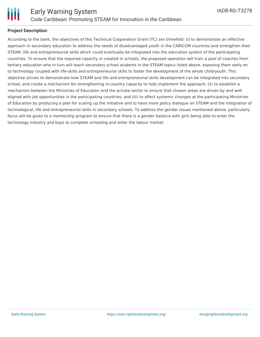

# **Project Description**

According to the bank, the objectives of this Technical Cooperation Grant (TC) are threefold: (i) to demonstrate an effective approach in secondary education to address the needs of disadvantaged youth in the CARICOM countries and strengthen their STEAM, life and entrepreneurial skills which could eventually be integrated into the education system of the participating countries. To ensure that the required capacity in created in schools, the proposed operation will train a pool of coaches from tertiary education who in turn will teach secondary school students in the STEAM topics listed above, exposing them early on to technology coupled with life-skills and entrepreneurial skills to foster the development of the whole child/youth. This objective strives to demonstrate how STEAM and life and entrepreneurial skills development can be integrated into secondary school, and create a mechanism for strengthening in-country capacity to help implement the approach; (ii) to establish a mechanism between the Ministries of Education and the private sector to ensure that chosen areas are driven by and well aligned with job opportunities in the participating countries; and (iii) to affect systemic changes at the participating Ministries of Education by producing a plan for scaling up the initiative and to have more policy dialogue on STEAM and the integration of technological, life and entrepreneurial skills in secondary schools. To address the gender issues mentioned above, particularly focus will be given to a mentorship program to ensure that there is a gender balance with girls being able to enter the technology industry and boys to complete schooling and enter the labour market.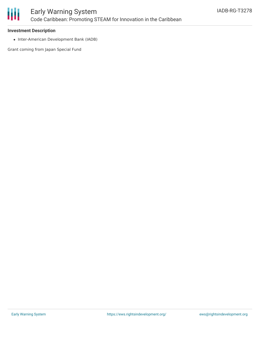

#### **Investment Description**

• Inter-American Development Bank (IADB)

Grant coming from Japan Special Fund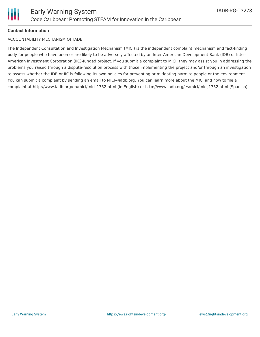# **Contact Information**

## ACCOUNTABILITY MECHANISM OF IADB

The Independent Consultation and Investigation Mechanism (MICI) is the independent complaint mechanism and fact-finding body for people who have been or are likely to be adversely affected by an Inter-American Development Bank (IDB) or Inter-American Investment Corporation (IIC)-funded project. If you submit a complaint to MICI, they may assist you in addressing the problems you raised through a dispute-resolution process with those implementing the project and/or through an investigation to assess whether the IDB or IIC is following its own policies for preventing or mitigating harm to people or the environment. You can submit a complaint by sending an email to MICI@iadb.org. You can learn more about the MICI and how to file a complaint at http://www.iadb.org/en/mici/mici,1752.html (in English) or http://www.iadb.org/es/mici/mici,1752.html (Spanish).